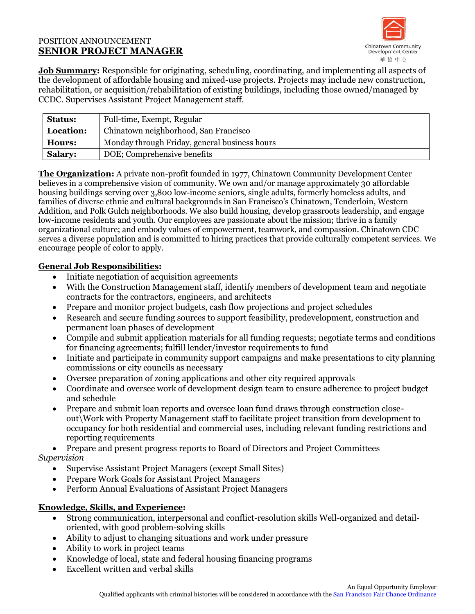### POSITION ANNOUNCEMENT **SENIOR PROJECT MANAGER**



**Job Summary:** Responsible for originating, scheduling, coordinating, and implementing all aspects of the development of affordable housing and mixed-use projects. Projects may include new construction, rehabilitation, or acquisition/rehabilitation of existing buildings, including those owned/managed by CCDC. Supervises Assistant Project Management staff.

| <b>Status:</b> | Full-time, Exempt, Regular                    |
|----------------|-----------------------------------------------|
| Location:      | Chinatown neighborhood, San Francisco         |
| <b>Hours:</b>  | Monday through Friday, general business hours |
| <b>Salary:</b> | DOE; Comprehensive benefits                   |

**The Organization:** A private non-profit founded in 1977, Chinatown Community Development Center believes in a comprehensive vision of community. We own and/or manage approximately 30 affordable housing buildings serving over 3,800 low-income seniors, single adults, formerly homeless adults, and families of diverse ethnic and cultural backgrounds in San Francisco's Chinatown, Tenderloin, Western Addition, and Polk Gulch neighborhoods. We also build housing, develop grassroots leadership, and engage low-income residents and youth. Our employees are passionate about the mission; thrive in a family organizational culture; and embody values of empowerment, teamwork, and compassion. Chinatown CDC serves a diverse population and is committed to hiring practices that provide culturally competent services. We encourage people of color to apply.

## **General Job Responsibilities:**

- Initiate negotiation of acquisition agreements
- With the Construction Management staff, identify members of development team and negotiate contracts for the contractors, engineers, and architects
- Prepare and monitor project budgets, cash flow projections and project schedules
- Research and secure funding sources to support feasibility, predevelopment, construction and permanent loan phases of development
- Compile and submit application materials for all funding requests; negotiate terms and conditions for financing agreements; fulfill lender/investor requirements to fund
- Initiate and participate in community support campaigns and make presentations to city planning commissions or city councils as necessary
- Oversee preparation of zoning applications and other city required approvals
- Coordinate and oversee work of development design team to ensure adherence to project budget and schedule
- Prepare and submit loan reports and oversee loan fund draws through construction closeout\Work with Property Management staff to facilitate project transition from development to occupancy for both residential and commercial uses, including relevant funding restrictions and reporting requirements

• Prepare and present progress reports to Board of Directors and Project Committees

## *Supervision*

- Supervise Assistant Project Managers (except Small Sites)
- Prepare Work Goals for Assistant Project Managers
- Perform Annual Evaluations of Assistant Project Managers

# **Knowledge, Skills, and Experience:**

- Strong communication, interpersonal and conflict-resolution skills Well-organized and detailoriented, with good problem-solving skills
- Ability to adjust to changing situations and work under pressure
- Ability to work in project teams
- Knowledge of local, state and federal housing financing programs
- Excellent written and verbal skills